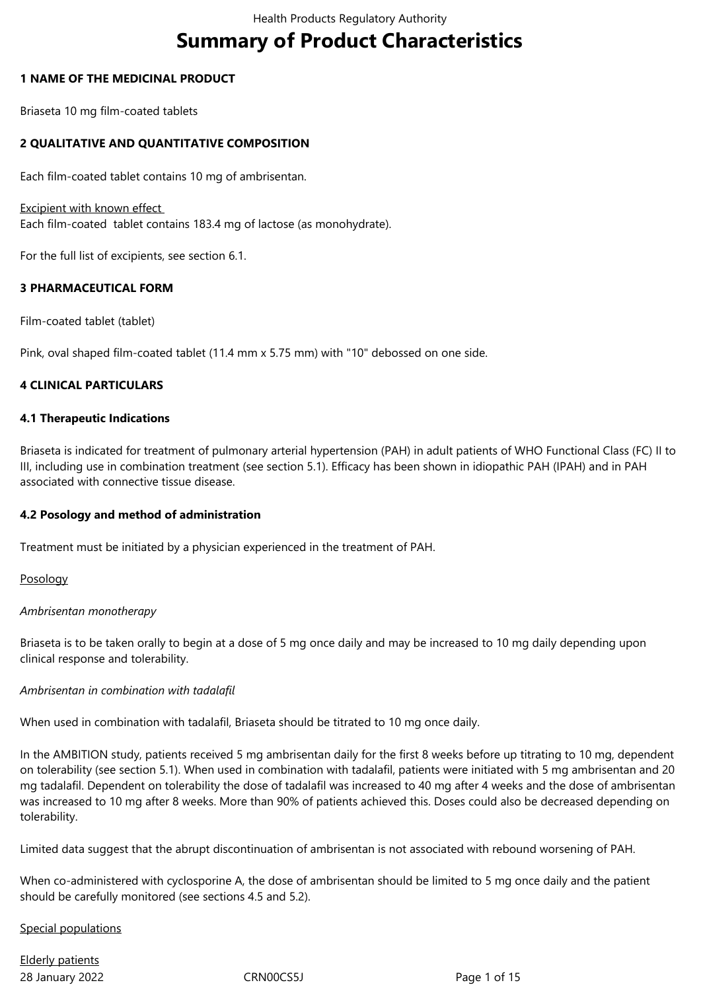# **Summary of Product Characteristics**

## **1 NAME OF THE MEDICINAL PRODUCT**

Briaseta 10 mg film-coated tablets

## **2 QUALITATIVE AND QUANTITATIVE COMPOSITION**

Each film-coated tablet contains 10 mg of ambrisentan.

#### Excipient with known effect

Each film-coated tablet contains 183.4 mg of lactose (as monohydrate).

For the full list of excipients, see section 6.1.

## **3 PHARMACEUTICAL FORM**

Film-coated tablet (tablet)

Pink, oval shaped film-coated tablet (11.4 mm x 5.75 mm) with "10" debossed on one side.

## **4 CLINICAL PARTICULARS**

#### **4.1 Therapeutic Indications**

Briaseta is indicated for treatment of pulmonary arterial hypertension (PAH) in adult patients of WHO Functional Class (FC) II to III, including use in combination treatment (see section 5.1). Efficacy has been shown in idiopathic PAH (IPAH) and in PAH associated with connective tissue disease.

#### **4.2 Posology and method of administration**

Treatment must be initiated by a physician experienced in the treatment of PAH.

#### Posology

#### *Ambrisentan monotherapy*

Briaseta is to be taken orally to begin at a dose of 5 mg once daily and may be increased to 10 mg daily depending upon clinical response and tolerability.

#### *Ambrisentan in combination with tadalafil*

When used in combination with tadalafil, Briaseta should be titrated to 10 mg once daily.

In the AMBITION study, patients received 5 mg ambrisentan daily for the first 8 weeks before up titrating to 10 mg, dependent on tolerability (see section 5.1). When used in combination with tadalafil, patients were initiated with 5 mg ambrisentan and 20 mg tadalafil. Dependent on tolerability the dose of tadalafil was increased to 40 mg after 4 weeks and the dose of ambrisentan was increased to 10 mg after 8 weeks. More than 90% of patients achieved this. Doses could also be decreased depending on tolerability.

Limited data suggest that the abrupt discontinuation of ambrisentan is not associated with rebound worsening of PAH.

When co-administered with cyclosporine A, the dose of ambrisentan should be limited to 5 mg once daily and the patient should be carefully monitored (see sections 4.5 and 5.2).

#### Special populations

28 January 2022 CRN00CS5J Page 1 of 15 Elderly patients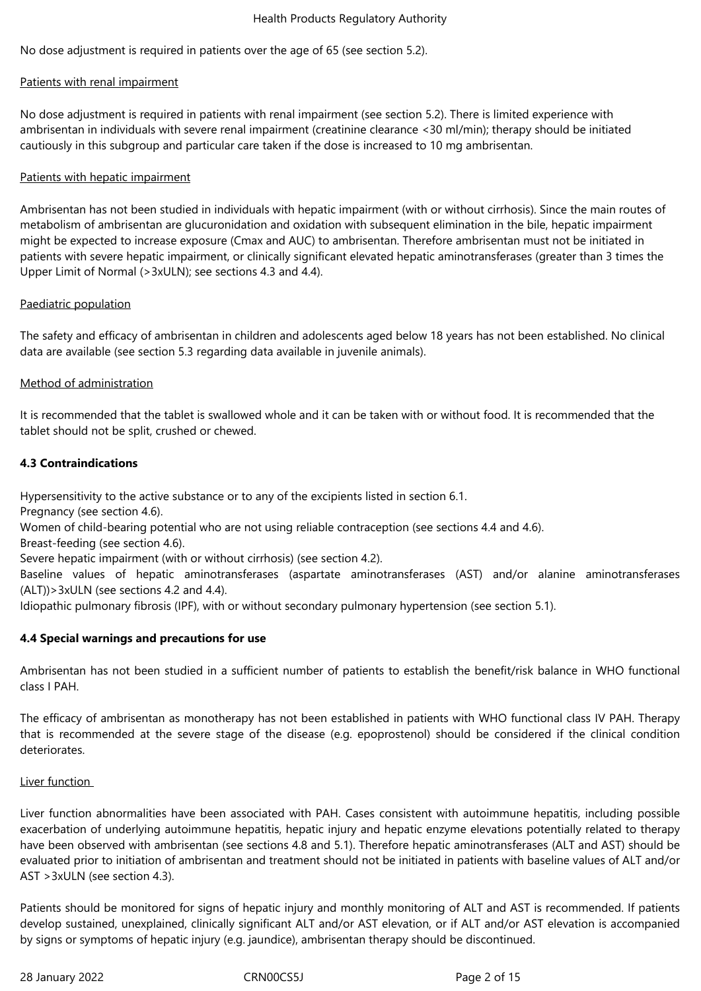No dose adjustment is required in patients over the age of 65 (see section 5.2).

#### Patients with renal impairment

No dose adjustment is required in patients with renal impairment (see section 5.2). There is limited experience with ambrisentan in individuals with severe renal impairment (creatinine clearance <30 ml/min); therapy should be initiated cautiously in this subgroup and particular care taken if the dose is increased to 10 mg ambrisentan.

#### Patients with hepatic impairment

Ambrisentan has not been studied in individuals with hepatic impairment (with or without cirrhosis). Since the main routes of metabolism of ambrisentan are glucuronidation and oxidation with subsequent elimination in the bile, hepatic impairment might be expected to increase exposure (Cmax and AUC) to ambrisentan. Therefore ambrisentan must not be initiated in patients with severe hepatic impairment, or clinically significant elevated hepatic aminotransferases (greater than 3 times the Upper Limit of Normal (>3xULN); see sections 4.3 and 4.4).

#### Paediatric population

The safety and efficacy of ambrisentan in children and adolescents aged below 18 years has not been established. No clinical data are available (see section 5.3 regarding data available in juvenile animals).

#### Method of administration

It is recommended that the tablet is swallowed whole and it can be taken with or without food. It is recommended that the tablet should not be split, crushed or chewed.

#### **4.3 Contraindications**

Hypersensitivity to the active substance or to any of the excipients listed in section 6.1.

Pregnancy (see section 4.6).

Women of child-bearing potential who are not using reliable contraception (see sections 4.4 and 4.6).

Breast-feeding (see section 4.6).

Severe hepatic impairment (with or without cirrhosis) (see section 4.2).

Baseline values of hepatic aminotransferases (aspartate aminotransferases (AST) and/or alanine aminotransferases  $(ALT)$ ) > 3xULN (see sections 4.2 and 4.4).

Idiopathic pulmonary fibrosis (IPF), with or without secondary pulmonary hypertension (see section 5.1).

#### **4.4 Special warnings and precautions for use**

Ambrisentan has not been studied in a sufficient number of patients to establish the benefit/risk balance in WHO functional class I PAH.

The efficacy of ambrisentan as monotherapy has not been established in patients with WHO functional class IV PAH. Therapy that is recommended at the severe stage of the disease (e.g. epoprostenol) should be considered if the clinical condition deteriorates.

#### Liver function

Liver function abnormalities have been associated with PAH. Cases consistent with autoimmune hepatitis, including possible exacerbation of underlying autoimmune hepatitis, hepatic injury and hepatic enzyme elevations potentially related to therapy have been observed with ambrisentan (see sections 4.8 and 5.1). Therefore hepatic aminotransferases (ALT and AST) should be evaluated prior to initiation of ambrisentan and treatment should not be initiated in patients with baseline values of ALT and/or AST >3xULN (see section 4.3).

Patients should be monitored for signs of hepatic injury and monthly monitoring of ALT and AST is recommended. If patients develop sustained, unexplained, clinically significant ALT and/or AST elevation, or if ALT and/or AST elevation is accompanied by signs or symptoms of hepatic injury (e.g. jaundice), ambrisentan therapy should be discontinued.

28 January 2022 CRN00CS5J Page 2 of 15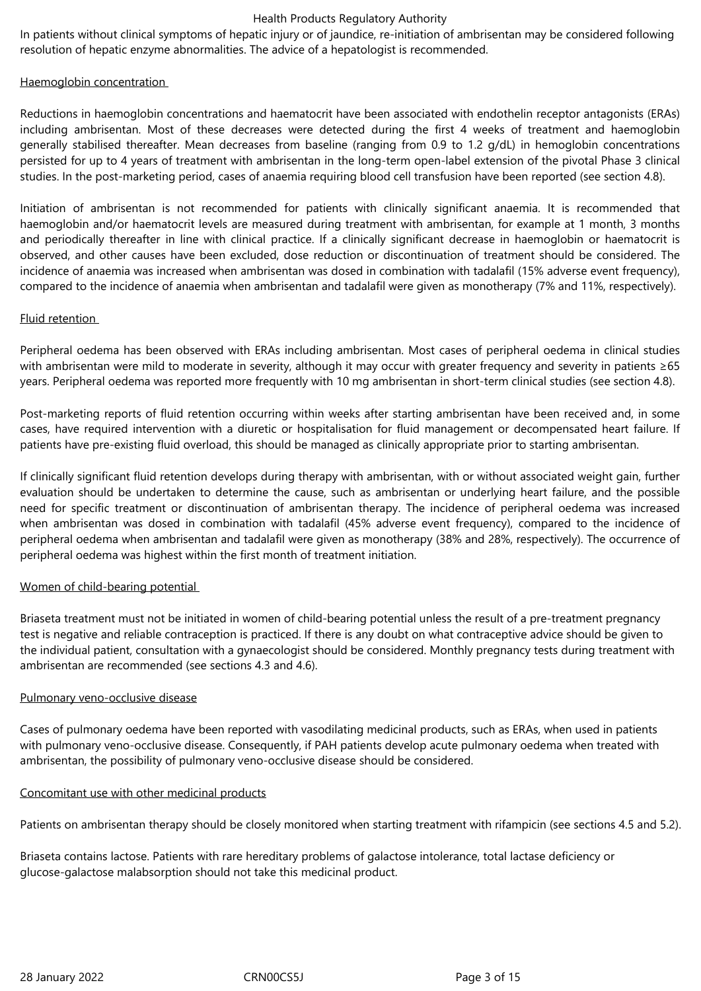In patients without clinical symptoms of hepatic injury or of jaundice, re-initiation of ambrisentan may be considered following resolution of hepatic enzyme abnormalities. The advice of a hepatologist is recommended.

## Haemoglobin concentration

Reductions in haemoglobin concentrations and haematocrit have been associated with endothelin receptor antagonists (ERAs) including ambrisentan. Most of these decreases were detected during the first 4 weeks of treatment and haemoglobin generally stabilised thereafter. Mean decreases from baseline (ranging from 0.9 to 1.2 g/dL) in hemoglobin concentrations persisted for up to 4 years of treatment with ambrisentan in the long-term open-label extension of the pivotal Phase 3 clinical studies. In the post-marketing period, cases of anaemia requiring blood cell transfusion have been reported (see section 4.8).

Initiation of ambrisentan is not recommended for patients with clinically significant anaemia. It is recommended that haemoglobin and/or haematocrit levels are measured during treatment with ambrisentan, for example at 1 month, 3 months and periodically thereafter in line with clinical practice. If a clinically significant decrease in haemoglobin or haematocrit is observed, and other causes have been excluded, dose reduction or discontinuation of treatment should be considered. The incidence of anaemia was increased when ambrisentan was dosed in combination with tadalafil (15% adverse event frequency), compared to the incidence of anaemia when ambrisentan and tadalafil were given as monotherapy (7% and 11%, respectively).

## Fluid retention

Peripheral oedema has been observed with ERAs including ambrisentan. Most cases of peripheral oedema in clinical studies with ambrisentan were mild to moderate in severity, although it may occur with greater frequency and severity in patients ≥65 years. Peripheral oedema was reported more frequently with 10 mg ambrisentan in short-term clinical studies (see section 4.8).

Post-marketing reports of fluid retention occurring within weeks after starting ambrisentan have been received and, in some cases, have required intervention with a diuretic or hospitalisation for fluid management or decompensated heart failure. If patients have pre-existing fluid overload, this should be managed as clinically appropriate prior to starting ambrisentan.

If clinically significant fluid retention develops during therapy with ambrisentan, with or without associated weight gain, further evaluation should be undertaken to determine the cause, such as ambrisentan or underlying heart failure, and the possible need for specific treatment or discontinuation of ambrisentan therapy. The incidence of peripheral oedema was increased when ambrisentan was dosed in combination with tadalafil (45% adverse event frequency), compared to the incidence of peripheral oedema when ambrisentan and tadalafil were given as monotherapy (38% and 28%, respectively). The occurrence of peripheral oedema was highest within the first month of treatment initiation.

# Women of child-bearing potential

Briaseta treatment must not be initiated in women of child-bearing potential unless the result of a pre-treatment pregnancy test is negative and reliable contraception is practiced. If there is any doubt on what contraceptive advice should be given to the individual patient, consultation with a gynaecologist should be considered. Monthly pregnancy tests during treatment with ambrisentan are recommended (see sections 4.3 and 4.6).

#### Pulmonary veno-occlusive disease

Cases of pulmonary oedema have been reported with vasodilating medicinal products, such as ERAs, when used in patients with pulmonary veno-occlusive disease. Consequently, if PAH patients develop acute pulmonary oedema when treated with ambrisentan, the possibility of pulmonary veno-occlusive disease should be considered.

#### Concomitant use with other medicinal products

Patients on ambrisentan therapy should be closely monitored when starting treatment with rifampicin (see sections 4.5 and 5.2).

Briaseta contains lactose. Patients with rare hereditary problems of galactose intolerance, total lactase deficiency or glucose-galactose malabsorption should not take this medicinal product.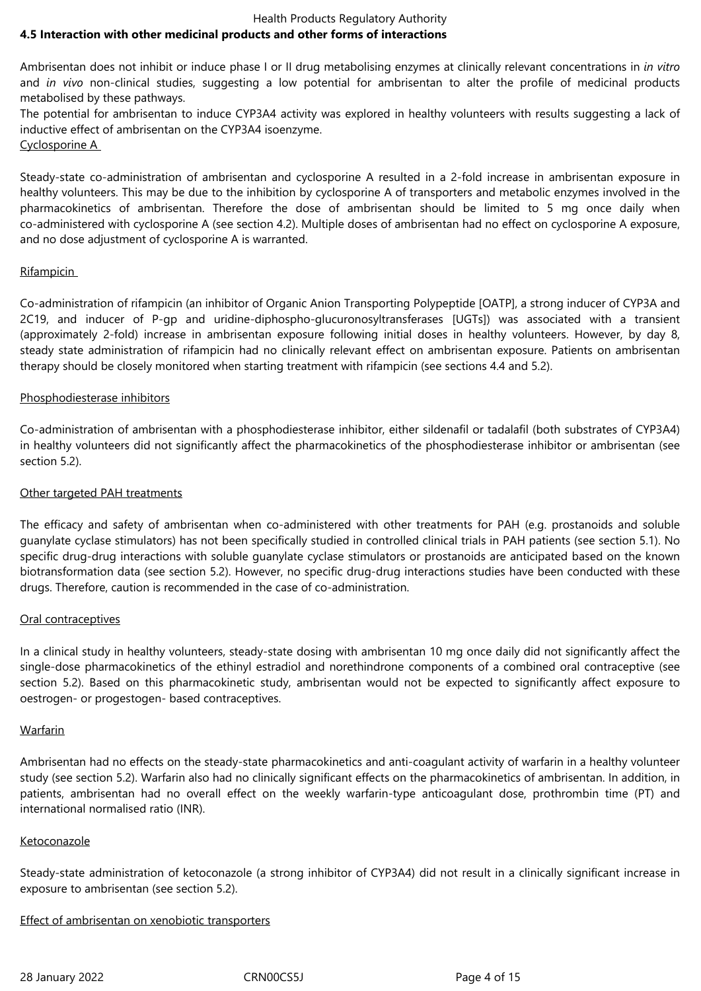#### Health Products Regulatory Authority **4.5 Interaction with other medicinal products and other forms of interactions**

Ambrisentan does not inhibit or induce phase I or II drug metabolising enzymes at clinically relevant concentrations in *in vitro* and *in vivo* non-clinical studies, suggesting a low potential for ambrisentan to alter the profile of medicinal products metabolised by these pathways.

The potential for ambrisentan to induce CYP3A4 activity was explored in healthy volunteers with results suggesting a lack of inductive effect of ambrisentan on the CYP3A4 isoenzyme. Cyclosporine A

Steady-state co-administration of ambrisentan and cyclosporine A resulted in a 2-fold increase in ambrisentan exposure in healthy volunteers. This may be due to the inhibition by cyclosporine A of transporters and metabolic enzymes involved in the pharmacokinetics of ambrisentan. Therefore the dose of ambrisentan should be limited to 5 mg once daily when co-administered with cyclosporine A (see section 4.2). Multiple doses of ambrisentan had no effect on cyclosporine A exposure, and no dose adjustment of cyclosporine A is warranted.

# Rifampicin

Co-administration of rifampicin (an inhibitor of Organic Anion Transporting Polypeptide [OATP], a strong inducer of CYP3A and 2C19, and inducer of P-gp and uridine-diphospho-glucuronosyltransferases [UGTs]) was associated with a transient (approximately 2-fold) increase in ambrisentan exposure following initial doses in healthy volunteers. However, by day 8, steady state administration of rifampicin had no clinically relevant effect on ambrisentan exposure. Patients on ambrisentan therapy should be closely monitored when starting treatment with rifampicin (see sections 4.4 and 5.2).

# Phosphodiesterase inhibitors

Co-administration of ambrisentan with a phosphodiesterase inhibitor, either sildenafil or tadalafil (both substrates of CYP3A4) in healthy volunteers did not significantly affect the pharmacokinetics of the phosphodiesterase inhibitor or ambrisentan (see section 5.2).

# Other targeted PAH treatments

The efficacy and safety of ambrisentan when co-administered with other treatments for PAH (e.g. prostanoids and soluble guanylate cyclase stimulators) has not been specifically studied in controlled clinical trials in PAH patients (see section 5.1). No specific drug-drug interactions with soluble guanylate cyclase stimulators or prostanoids are anticipated based on the known biotransformation data (see section 5.2). However, no specific drug-drug interactions studies have been conducted with these drugs. Therefore, caution is recommended in the case of co-administration.

# Oral contraceptives

In a clinical study in healthy volunteers, steady-state dosing with ambrisentan 10 mg once daily did not significantly affect the single-dose pharmacokinetics of the ethinyl estradiol and norethindrone components of a combined oral contraceptive (see section 5.2). Based on this pharmacokinetic study, ambrisentan would not be expected to significantly affect exposure to oestrogen- or progestogen- based contraceptives.

# Warfarin

Ambrisentan had no effects on the steady-state pharmacokinetics and anti-coagulant activity of warfarin in a healthy volunteer study (see section 5.2). Warfarin also had no clinically significant effects on the pharmacokinetics of ambrisentan. In addition, in patients, ambrisentan had no overall effect on the weekly warfarin-type anticoagulant dose, prothrombin time (PT) and international normalised ratio (INR).

# Ketoconazole

Steady-state administration of ketoconazole (a strong inhibitor of CYP3A4) did not result in a clinically significant increase in exposure to ambrisentan (see section 5.2).

# Effect of ambrisentan on xenobiotic transporters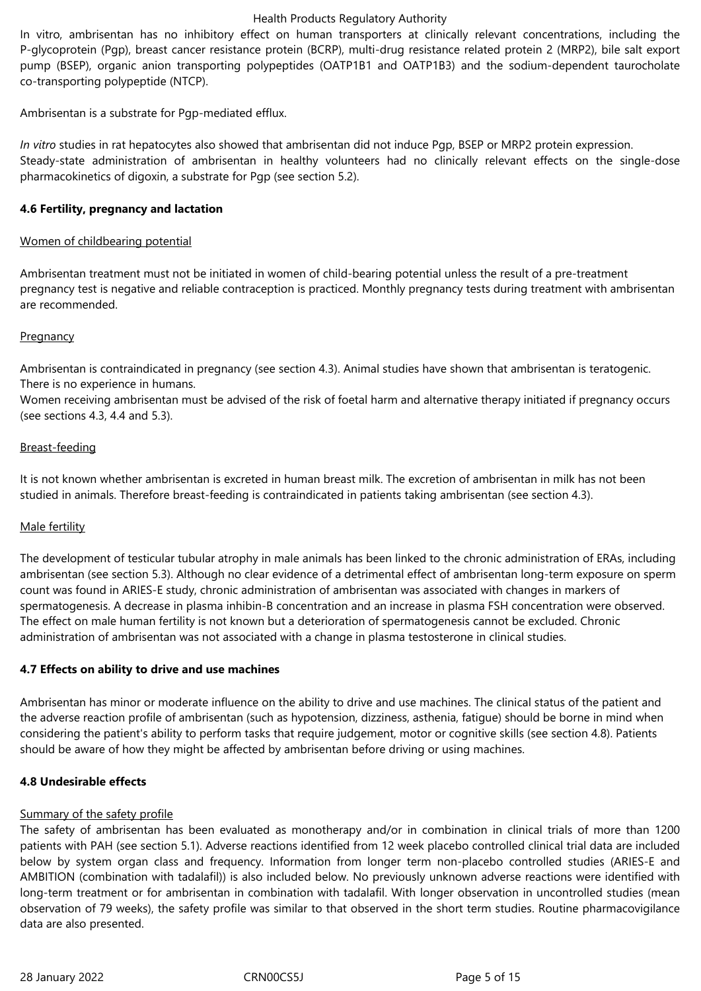In vitro, ambrisentan has no inhibitory effect on human transporters at clinically relevant concentrations, including the P-glycoprotein (Pgp), breast cancer resistance protein (BCRP), multi-drug resistance related protein 2 (MRP2), bile salt export pump (BSEP), organic anion transporting polypeptides (OATP1B1 and OATP1B3) and the sodium-dependent taurocholate co-transporting polypeptide (NTCP).

Ambrisentan is a substrate for Pgp-mediated efflux.

*In vitro* studies in rat hepatocytes also showed that ambrisentan did not induce Pgp, BSEP or MRP2 protein expression. Steady-state administration of ambrisentan in healthy volunteers had no clinically relevant effects on the single-dose pharmacokinetics of digoxin, a substrate for Pgp (see section 5.2).

## **4.6 Fertility, pregnancy and lactation**

## Women of childbearing potential

Ambrisentan treatment must not be initiated in women of child-bearing potential unless the result of a pre-treatment pregnancy test is negative and reliable contraception is practiced. Monthly pregnancy tests during treatment with ambrisentan are recommended.

#### **Pregnancy**

Ambrisentan is contraindicated in pregnancy (see section 4.3). Animal studies have shown that ambrisentan is teratogenic. There is no experience in humans.

Women receiving ambrisentan must be advised of the risk of foetal harm and alternative therapy initiated if pregnancy occurs (see sections 4.3, 4.4 and 5.3).

## Breast-feeding

It is not known whether ambrisentan is excreted in human breast milk. The excretion of ambrisentan in milk has not been studied in animals. Therefore breast-feeding is contraindicated in patients taking ambrisentan (see section 4.3).

#### Male fertility

The development of testicular tubular atrophy in male animals has been linked to the chronic administration of ERAs, including ambrisentan (see section 5.3). Although no clear evidence of a detrimental effect of ambrisentan long-term exposure on sperm count was found in ARIES-E study, chronic administration of ambrisentan was associated with changes in markers of spermatogenesis. A decrease in plasma inhibin-B concentration and an increase in plasma FSH concentration were observed. The effect on male human fertility is not known but a deterioration of spermatogenesis cannot be excluded. Chronic administration of ambrisentan was not associated with a change in plasma testosterone in clinical studies.

#### **4.7 Effects on ability to drive and use machines**

Ambrisentan has minor or moderate influence on the ability to drive and use machines. The clinical status of the patient and the adverse reaction profile of ambrisentan (such as hypotension, dizziness, asthenia, fatigue) should be borne in mind when considering the patient's ability to perform tasks that require judgement, motor or cognitive skills (see section 4.8). Patients should be aware of how they might be affected by ambrisentan before driving or using machines.

#### **4.8 Undesirable effects**

#### Summary of the safety profile

The safety of ambrisentan has been evaluated as monotherapy and/or in combination in clinical trials of more than 1200 patients with PAH (see section 5.1). Adverse reactions identified from 12 week placebo controlled clinical trial data are included below by system organ class and frequency. Information from longer term non-placebo controlled studies (ARIES-E and AMBITION (combination with tadalafil)) is also included below. No previously unknown adverse reactions were identified with long-term treatment or for ambrisentan in combination with tadalafil. With longer observation in uncontrolled studies (mean observation of 79 weeks), the safety profile was similar to that observed in the short term studies. Routine pharmacovigilance data are also presented.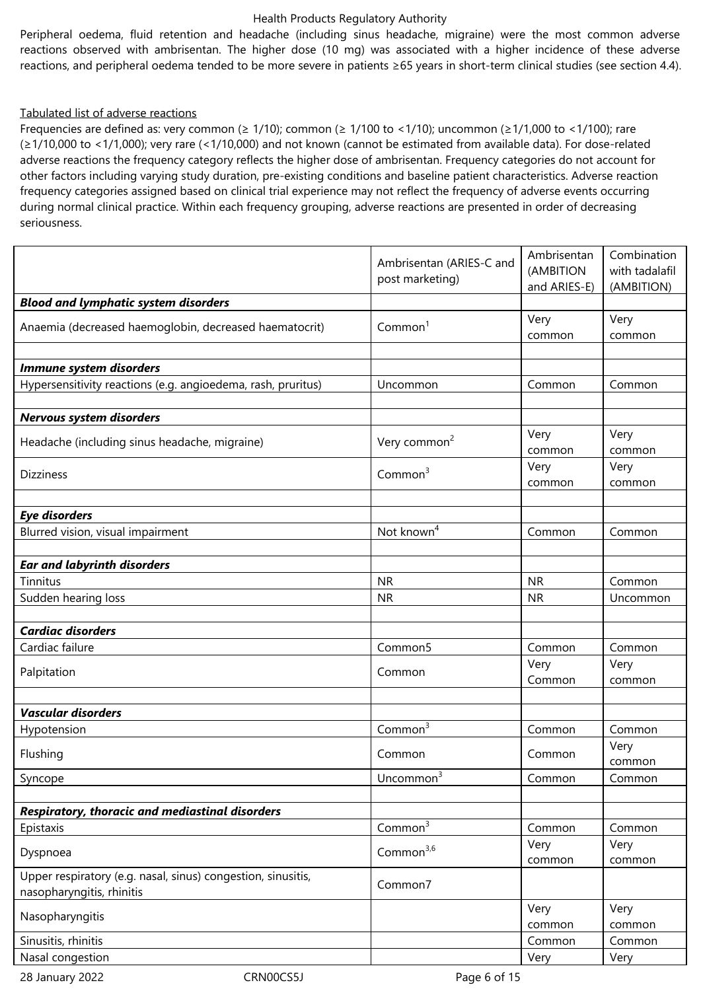Peripheral oedema, fluid retention and headache (including sinus headache, migraine) were the most common adverse reactions observed with ambrisentan. The higher dose (10 mg) was associated with a higher incidence of these adverse reactions, and peripheral oedema tended to be more severe in patients ≥65 years in short-term clinical studies (see section 4.4).

#### Tabulated list of adverse reactions

Frequencies are defined as: very common (≥ 1/10); common (≥ 1/100 to <1/10); uncommon (≥1/1,000 to <1/100); rare (≥1/10,000 to <1/1,000); very rare (<1/10,000) and not known (cannot be estimated from available data). For dose-related adverse reactions the frequency category reflects the higher dose of ambrisentan. Frequency categories do not account for other factors including varying study duration, pre-existing conditions and baseline patient characteristics. Adverse reaction frequency categories assigned based on clinical trial experience may not reflect the frequency of adverse events occurring during normal clinical practice. Within each frequency grouping, adverse reactions are presented in order of decreasing seriousness.

|                                                                                           | Ambrisentan (ARIES-C and<br>post marketing) | Ambrisentan<br>(AMBITION<br>and ARIES-E) | Combination<br>with tadalafil<br>(AMBITION) |
|-------------------------------------------------------------------------------------------|---------------------------------------------|------------------------------------------|---------------------------------------------|
| <b>Blood and lymphatic system disorders</b>                                               |                                             |                                          |                                             |
| Anaemia (decreased haemoglobin, decreased haematocrit)                                    | Common <sup>1</sup>                         | Very<br>common                           | Very<br>common                              |
| Immune system disorders                                                                   |                                             |                                          |                                             |
| Hypersensitivity reactions (e.g. angioedema, rash, pruritus)                              | Uncommon                                    | Common                                   | Common                                      |
| Nervous system disorders                                                                  |                                             |                                          |                                             |
| Headache (including sinus headache, migraine)                                             | Very common <sup>2</sup>                    | Very<br>common                           | Very<br>common                              |
| <b>Dizziness</b>                                                                          | Common <sup>3</sup>                         | Very<br>common                           | Very<br>common                              |
|                                                                                           |                                             |                                          |                                             |
| <b>Eye disorders</b>                                                                      | Not known <sup>4</sup>                      |                                          |                                             |
| Blurred vision, visual impairment                                                         |                                             | Common                                   | Common                                      |
| <b>Ear and labyrinth disorders</b>                                                        |                                             |                                          |                                             |
| Tinnitus                                                                                  | <b>NR</b>                                   | <b>NR</b>                                | Common                                      |
| Sudden hearing loss                                                                       | <b>NR</b>                                   | <b>NR</b>                                | Uncommon                                    |
|                                                                                           |                                             |                                          |                                             |
| <b>Cardiac disorders</b>                                                                  |                                             |                                          |                                             |
| Cardiac failure                                                                           | Common5                                     | Common                                   | Common                                      |
| Palpitation                                                                               | Common                                      | Very<br>Common                           | Very<br>common                              |
|                                                                                           |                                             |                                          |                                             |
| <b>Vascular disorders</b><br>Hypotension                                                  | Common <sup>3</sup>                         | Common                                   | Common                                      |
| Flushing                                                                                  | Common<br>Common                            |                                          | Very<br>common                              |
| Syncope                                                                                   | C.<br>Uncommon <sup>3</sup>                 | Common                                   | Common                                      |
|                                                                                           |                                             |                                          |                                             |
| Respiratory, thoracic and mediastinal disorders                                           |                                             |                                          |                                             |
| Epistaxis                                                                                 | Common <sup>3</sup>                         | Common                                   | Common                                      |
| Dyspnoea                                                                                  | Common <sup>3,6</sup>                       | Very<br>common                           | Very<br>common                              |
| Upper respiratory (e.g. nasal, sinus) congestion, sinusitis,<br>nasopharyngitis, rhinitis | Common7                                     |                                          |                                             |
| Nasopharyngitis                                                                           |                                             | Very<br>common                           | Very<br>common                              |
| Sinusitis, rhinitis                                                                       |                                             | Common                                   | Common                                      |
| Nasal congestion                                                                          |                                             | Very                                     | Very                                        |

28 January 2022 CRN00CS5J Page 6 of 15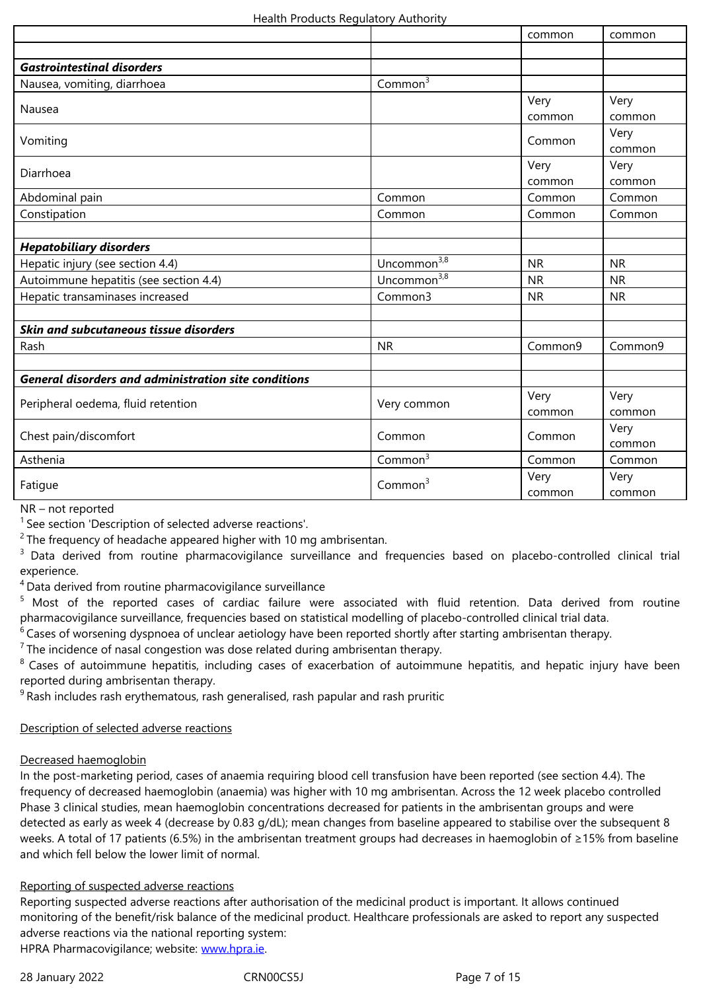| <b>Gastrointestinal disorders</b>                           |                         |                |                |
|-------------------------------------------------------------|-------------------------|----------------|----------------|
| Nausea, vomiting, diarrhoea                                 | Common <sup>3</sup>     |                |                |
| Nausea                                                      |                         | Very<br>common | Very<br>common |
| Vomiting                                                    |                         | Common         | Very<br>common |
| Diarrhoea                                                   |                         | Very<br>common | Very<br>common |
| Abdominal pain                                              | Common                  | Common         | Common         |
| Constipation                                                | Common                  | Common         | Common         |
|                                                             |                         |                |                |
| <b>Hepatobiliary disorders</b>                              |                         |                |                |
| Hepatic injury (see section 4.4)                            | Uncommon <sup>3,8</sup> | <b>NR</b>      | <b>NR</b>      |
| Autoimmune hepatitis (see section 4.4)                      | Uncommon <sup>3,8</sup> | <b>NR</b>      | <b>NR</b>      |
| Hepatic transaminases increased                             | Common3                 | <b>NR</b>      | <b>NR</b>      |
|                                                             |                         |                |                |
| Skin and subcutaneous tissue disorders                      |                         |                |                |
| Rash                                                        | <b>NR</b>               | Common9        | Common9        |
|                                                             |                         |                |                |
| <b>General disorders and administration site conditions</b> |                         |                |                |
| Peripheral oedema, fluid retention                          | Very common             | Very<br>common | Very<br>common |
| Chest pain/discomfort                                       | Common                  | Common         | Very<br>common |
| Asthenia                                                    | Common $3$              | Common         | Common         |
| Fatigue                                                     | Common <sup>3</sup>     | Very<br>common | Very<br>common |

NR – not reported

 $1$  See section 'Description of selected adverse reactions'.

 $2$  The frequency of headache appeared higher with 10 mg ambrisentan.

<sup>3</sup> Data derived from routine pharmacovigilance surveillance and frequencies based on placebo-controlled clinical trial experience.

<sup>4</sup> Data derived from routine pharmacovigilance surveillance

<sup>5</sup> Most of the reported cases of cardiac failure were associated with fluid retention. Data derived from routine pharmacovigilance surveillance, frequencies based on statistical modelling of placebo-controlled clinical trial data.

 $\frac{1}{6}$  Cases of worsening dyspnoea of unclear aetiology have been reported shortly after starting ambrisentan therapy.

 $7$ The incidence of nasal congestion was dose related during ambrisentan therapy.

<sup>8</sup> Cases of autoimmune hepatitis, including cases of exacerbation of autoimmune hepatitis, and hepatic injury have been reported during ambrisentan therapy.

 $9$ Rash includes rash erythematous, rash generalised, rash papular and rash pruritic

#### Description of selected adverse reactions

#### Decreased haemoglobin

In the post-marketing period, cases of anaemia requiring blood cell transfusion have been reported (see section 4.4). The frequency of decreased haemoglobin (anaemia) was higher with 10 mg ambrisentan. Across the 12 week placebo controlled Phase 3 clinical studies, mean haemoglobin concentrations decreased for patients in the ambrisentan groups and were detected as early as week 4 (decrease by 0.83 g/dL); mean changes from baseline appeared to stabilise over the subsequent 8 weeks. A total of 17 patients (6.5%) in the ambrisentan treatment groups had decreases in haemoglobin of ≥15% from baseline and which fell below the lower limit of normal.

#### Reporting of suspected adverse reactions

Reporting suspected adverse reactions after authorisation of the medicinal product is important. It allows continued monitoring of the benefit/risk balance of the medicinal product. Healthcare professionals are asked to report any suspected adverse reactions via the national reporting system: HPRA Pharmacovigilance; website: www.hpra.ie.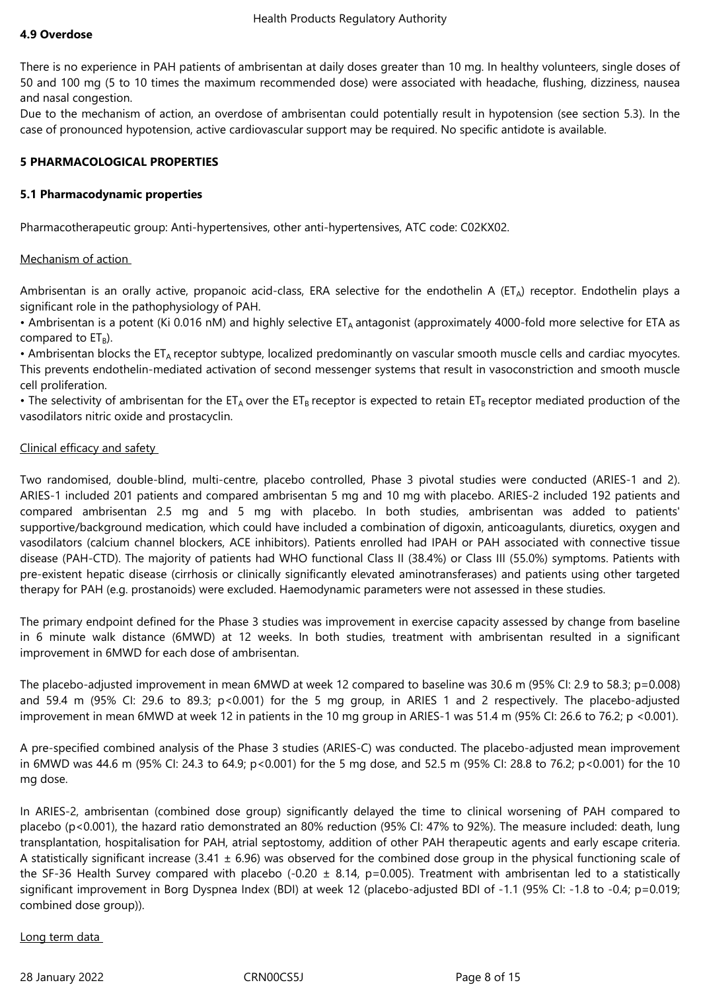#### **4.9 Overdose**

There is no experience in PAH patients of ambrisentan at daily doses greater than 10 mg. In healthy volunteers, single doses of 50 and 100 mg (5 to 10 times the maximum recommended dose) were associated with headache, flushing, dizziness, nausea and nasal congestion.

Due to the mechanism of action, an overdose of ambrisentan could potentially result in hypotension (see section 5.3). In the case of pronounced hypotension, active cardiovascular support may be required. No specific antidote is available.

#### **5 PHARMACOLOGICAL PROPERTIES**

#### **5.1 Pharmacodynamic properties**

Pharmacotherapeutic group: Anti-hypertensives, other anti-hypertensives, ATC code: C02KX02.

#### Mechanism of action

Ambrisentan is an orally active, propanoic acid-class, ERA selective for the endothelin A ( $ET_A$ ) receptor. Endothelin plays a significant role in the pathophysiology of PAH.

• Ambrisentan is a potent (Ki 0.016 nM) and highly selective ET<sub>A</sub> antagonist (approximately 4000-fold more selective for ETA as compared to  $ET_B$ ).

• Ambrisentan blocks the ET<sub>A</sub> receptor subtype, localized predominantly on vascular smooth muscle cells and cardiac myocytes. This prevents endothelin-mediated activation of second messenger systems that result in vasoconstriction and smooth muscle cell proliferation.

• The selectivity of ambrisentan for the ET<sub>A</sub> over the ET<sub>B</sub> receptor is expected to retain ET<sub>B</sub> receptor mediated production of the vasodilators nitric oxide and prostacyclin.

#### Clinical efficacy and safety

Two randomised, double-blind, multi-centre, placebo controlled, Phase 3 pivotal studies were conducted (ARIES-1 and 2). ARIES-1 included 201 patients and compared ambrisentan 5 mg and 10 mg with placebo. ARIES-2 included 192 patients and compared ambrisentan 2.5 mg and 5 mg with placebo. In both studies, ambrisentan was added to patients' supportive/background medication, which could have included a combination of digoxin, anticoagulants, diuretics, oxygen and vasodilators (calcium channel blockers, ACE inhibitors). Patients enrolled had IPAH or PAH associated with connective tissue disease (PAH-CTD). The majority of patients had WHO functional Class II (38.4%) or Class III (55.0%) symptoms. Patients with pre-existent hepatic disease (cirrhosis or clinically significantly elevated aminotransferases) and patients using other targeted therapy for PAH (e.g. prostanoids) were excluded. Haemodynamic parameters were not assessed in these studies.

The primary endpoint defined for the Phase 3 studies was improvement in exercise capacity assessed by change from baseline in 6 minute walk distance (6MWD) at 12 weeks. In both studies, treatment with ambrisentan resulted in a significant improvement in 6MWD for each dose of ambrisentan.

The placebo-adjusted improvement in mean 6MWD at week 12 compared to baseline was 30.6 m (95% CI: 2.9 to 58.3; p=0.008) and 59.4 m (95% CI: 29.6 to 89.3; p<0.001) for the 5 mg group, in ARIES 1 and 2 respectively. The placebo-adjusted improvement in mean 6MWD at week 12 in patients in the 10 mg group in ARIES-1 was 51.4 m (95% CI: 26.6 to 76.2; p <0.001).

A pre-specified combined analysis of the Phase 3 studies (ARIES-C) was conducted. The placebo-adjusted mean improvement in 6MWD was 44.6 m (95% CI: 24.3 to 64.9; p<0.001) for the 5 mg dose, and 52.5 m (95% CI: 28.8 to 76.2; p<0.001) for the 10 mg dose.

In ARIES-2, ambrisentan (combined dose group) significantly delayed the time to clinical worsening of PAH compared to placebo (p<0.001), the hazard ratio demonstrated an 80% reduction (95% CI: 47% to 92%). The measure included: death, lung transplantation, hospitalisation for PAH, atrial septostomy, addition of other PAH therapeutic agents and early escape criteria. A statistically significant increase (3.41  $\pm$  6.96) was observed for the combined dose group in the physical functioning scale of the SF-36 Health Survey compared with placebo (-0.20  $\pm$  8.14, p=0.005). Treatment with ambrisentan led to a statistically significant improvement in Borg Dyspnea Index (BDI) at week 12 (placebo-adjusted BDI of -1.1 (95% CI: -1.8 to -0.4; p=0.019; combined dose group)).

#### Long term data

28 January 2022 CRN00CS5J Page 8 of 15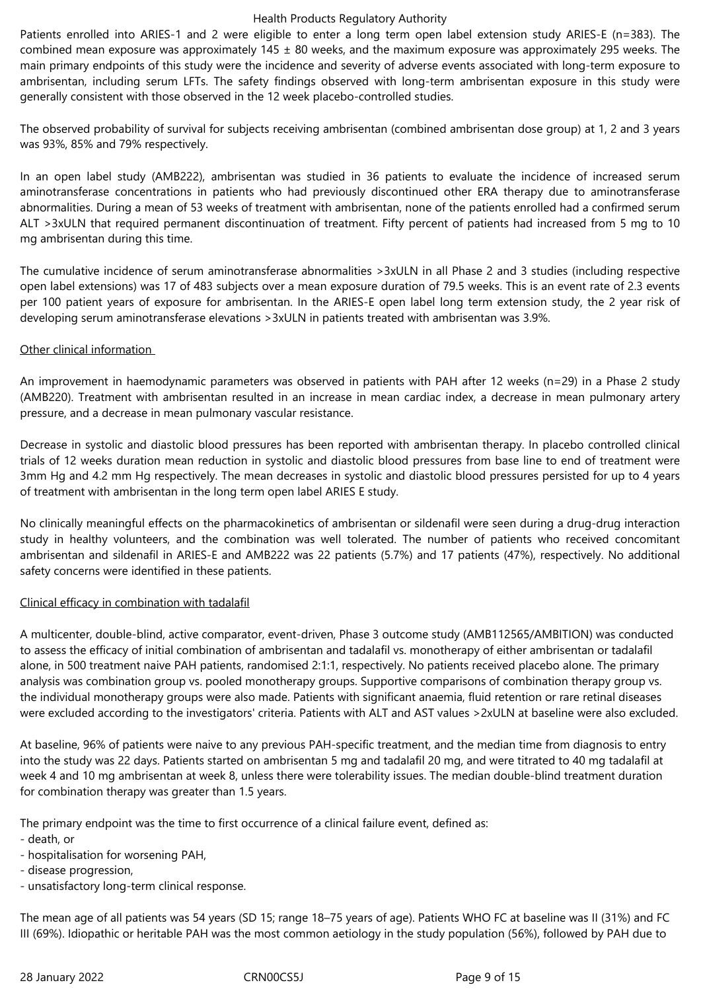Patients enrolled into ARIES-1 and 2 were eligible to enter a long term open label extension study ARIES-E (n=383). The combined mean exposure was approximately  $145 \pm 80$  weeks, and the maximum exposure was approximately 295 weeks. The main primary endpoints of this study were the incidence and severity of adverse events associated with long-term exposure to ambrisentan, including serum LFTs. The safety findings observed with long-term ambrisentan exposure in this study were generally consistent with those observed in the 12 week placebo-controlled studies.

The observed probability of survival for subjects receiving ambrisentan (combined ambrisentan dose group) at 1, 2 and 3 years was 93%, 85% and 79% respectively.

In an open label study (AMB222), ambrisentan was studied in 36 patients to evaluate the incidence of increased serum aminotransferase concentrations in patients who had previously discontinued other ERA therapy due to aminotransferase abnormalities. During a mean of 53 weeks of treatment with ambrisentan, none of the patients enrolled had a confirmed serum ALT >3xULN that required permanent discontinuation of treatment. Fifty percent of patients had increased from 5 mg to 10 mg ambrisentan during this time.

The cumulative incidence of serum aminotransferase abnormalities >3xULN in all Phase 2 and 3 studies (including respective open label extensions) was 17 of 483 subjects over a mean exposure duration of 79.5 weeks. This is an event rate of 2.3 events per 100 patient years of exposure for ambrisentan. In the ARIES-E open label long term extension study, the 2 year risk of developing serum aminotransferase elevations >3xULN in patients treated with ambrisentan was 3.9%.

## Other clinical information

An improvement in haemodynamic parameters was observed in patients with PAH after 12 weeks (n=29) in a Phase 2 study (AMB220). Treatment with ambrisentan resulted in an increase in mean cardiac index, a decrease in mean pulmonary artery pressure, and a decrease in mean pulmonary vascular resistance.

Decrease in systolic and diastolic blood pressures has been reported with ambrisentan therapy. In placebo controlled clinical trials of 12 weeks duration mean reduction in systolic and diastolic blood pressures from base line to end of treatment were 3mm Hg and 4.2 mm Hg respectively. The mean decreases in systolic and diastolic blood pressures persisted for up to 4 years of treatment with ambrisentan in the long term open label ARIES E study.

No clinically meaningful effects on the pharmacokinetics of ambrisentan or sildenafil were seen during a drug-drug interaction study in healthy volunteers, and the combination was well tolerated. The number of patients who received concomitant ambrisentan and sildenafil in ARIES-E and AMB222 was 22 patients (5.7%) and 17 patients (47%), respectively. No additional safety concerns were identified in these patients.

# Clinical efficacy in combination with tadalafil

A multicenter, double-blind, active comparator, event-driven, Phase 3 outcome study (AMB112565/AMBITION) was conducted to assess the efficacy of initial combination of ambrisentan and tadalafil vs. monotherapy of either ambrisentan or tadalafil alone, in 500 treatment naive PAH patients, randomised 2:1:1, respectively. No patients received placebo alone. The primary analysis was combination group vs. pooled monotherapy groups. Supportive comparisons of combination therapy group vs. the individual monotherapy groups were also made. Patients with significant anaemia, fluid retention or rare retinal diseases were excluded according to the investigators' criteria. Patients with ALT and AST values >2xULN at baseline were also excluded.

At baseline, 96% of patients were naive to any previous PAH-specific treatment, and the median time from diagnosis to entry into the study was 22 days. Patients started on ambrisentan 5 mg and tadalafil 20 mg, and were titrated to 40 mg tadalafil at week 4 and 10 mg ambrisentan at week 8, unless there were tolerability issues. The median double-blind treatment duration for combination therapy was greater than 1.5 years.

The primary endpoint was the time to first occurrence of a clinical failure event, defined as:

- death, or
- hospitalisation for worsening PAH,
- disease progression,
- unsatisfactory long-term clinical response.

The mean age of all patients was 54 years (SD 15; range 18–75 years of age). Patients WHO FC at baseline was II (31%) and FC III (69%). Idiopathic or heritable PAH was the most common aetiology in the study population (56%), followed by PAH due to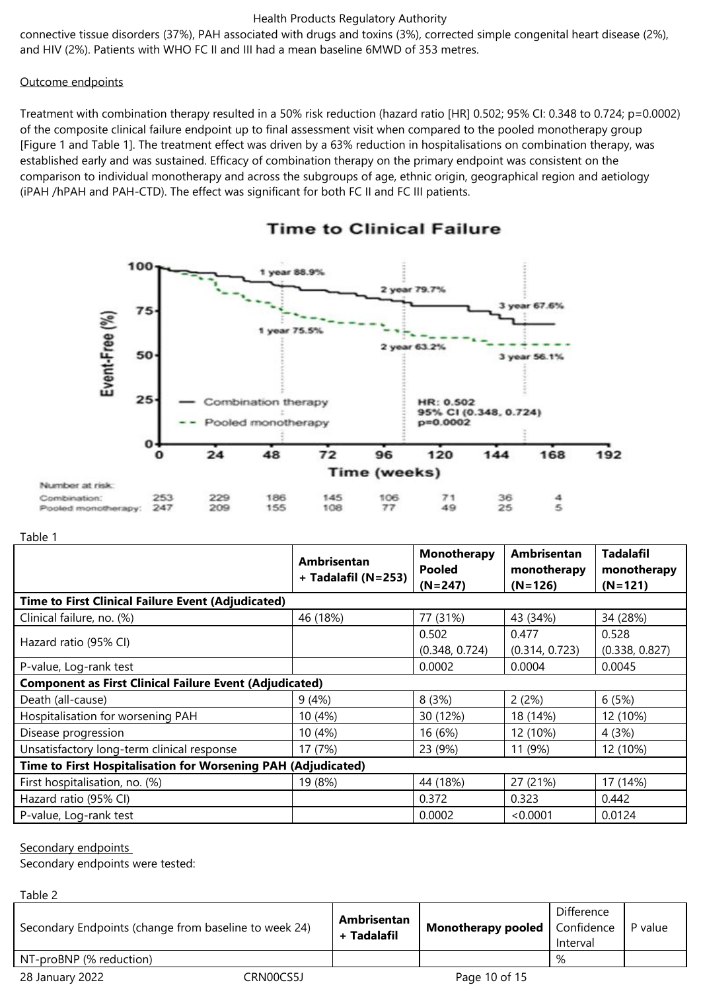connective tissue disorders (37%), PAH associated with drugs and toxins (3%), corrected simple congenital heart disease (2%), and HIV (2%). Patients with WHO FC II and III had a mean baseline 6MWD of 353 metres.

#### Outcome endpoints

Treatment with combination therapy resulted in a 50% risk reduction (hazard ratio [HR] 0.502; 95% CI: 0.348 to 0.724; p=0.0002) of the composite clinical failure endpoint up to final assessment visit when compared to the pooled monotherapy group [Figure 1 and Table 1]. The treatment effect was driven by a 63% reduction in hospitalisations on combination therapy, was established early and was sustained. Efficacy of combination therapy on the primary endpoint was consistent on the comparison to individual monotherapy and across the subgroups of age, ethnic origin, geographical region and aetiology (iPAH /hPAH and PAH-CTD). The effect was significant for both FC II and FC III patients.



# **Time to Clinical Failure**

#### Table 1

|                                                                | Ambrisentan<br>+ Tadalafil (N=253) | Monotherapy<br><b>Pooled</b> | <b>Ambrisentan</b><br>monotherapy | <b>Tadalafil</b><br>monotherapy |  |
|----------------------------------------------------------------|------------------------------------|------------------------------|-----------------------------------|---------------------------------|--|
|                                                                |                                    | $(N=247)$                    | $(N=126)$                         | $(N=121)$                       |  |
| <b>Time to First Clinical Failure Event (Adjudicated)</b>      |                                    |                              |                                   |                                 |  |
| Clinical failure, no. (%)                                      | 46 (18%)                           | 77 (31%)                     | 43 (34%)                          | 34 (28%)                        |  |
|                                                                |                                    | 0.502                        | 0.477                             | 0.528                           |  |
| Hazard ratio (95% CI)                                          |                                    | (0.348, 0.724)               | (0.314, 0.723)                    | (0.338, 0.827)                  |  |
| P-value, Log-rank test                                         |                                    | 0.0002                       | 0.0004                            | 0.0045                          |  |
| <b>Component as First Clinical Failure Event (Adjudicated)</b> |                                    |                              |                                   |                                 |  |
| Death (all-cause)                                              | 9(4%)                              | 8(3%)                        | 2(2%)                             | 6(5%)                           |  |
| Hospitalisation for worsening PAH                              | 10 (4%)                            | 30 (12%)                     | 18 (14%)                          | 12 (10%)                        |  |
| Disease progression                                            | 10 (4%)                            | 16 (6%)                      | 12 (10%)                          | 4(3%)                           |  |
| Unsatisfactory long-term clinical response                     | 17 (7%)                            | 23 (9%)                      | 11 (9%)                           | 12 (10%)                        |  |
| Time to First Hospitalisation for Worsening PAH (Adjudicated)  |                                    |                              |                                   |                                 |  |
| First hospitalisation, no. (%)                                 | 19 (8%)                            | 44 (18%)                     | 27 (21%)                          | 17 (14%)                        |  |
| Hazard ratio (95% CI)                                          |                                    | 0.372                        | 0.323                             | 0.442                           |  |
| P-value, Log-rank test                                         |                                    | 0.0002                       | <0.0001                           | 0.0124                          |  |

#### Secondary endpoints

 $T$ shla $2$ 

Secondary endpoints were tested:

| Tanic C                                               |           |                            |                                        |                        |         |
|-------------------------------------------------------|-----------|----------------------------|----------------------------------------|------------------------|---------|
| Secondary Endpoints (change from baseline to week 24) |           | Ambrisentan<br>+ Tadalafil | <b>Monotherapy pooled</b>   Confidence | Difference<br>Interval | P value |
| NT-proBNP (% reduction)                               |           |                            |                                        | %                      |         |
| 28 January 2022                                       | CRN00CS5J |                            | Page 10 of 15                          |                        |         |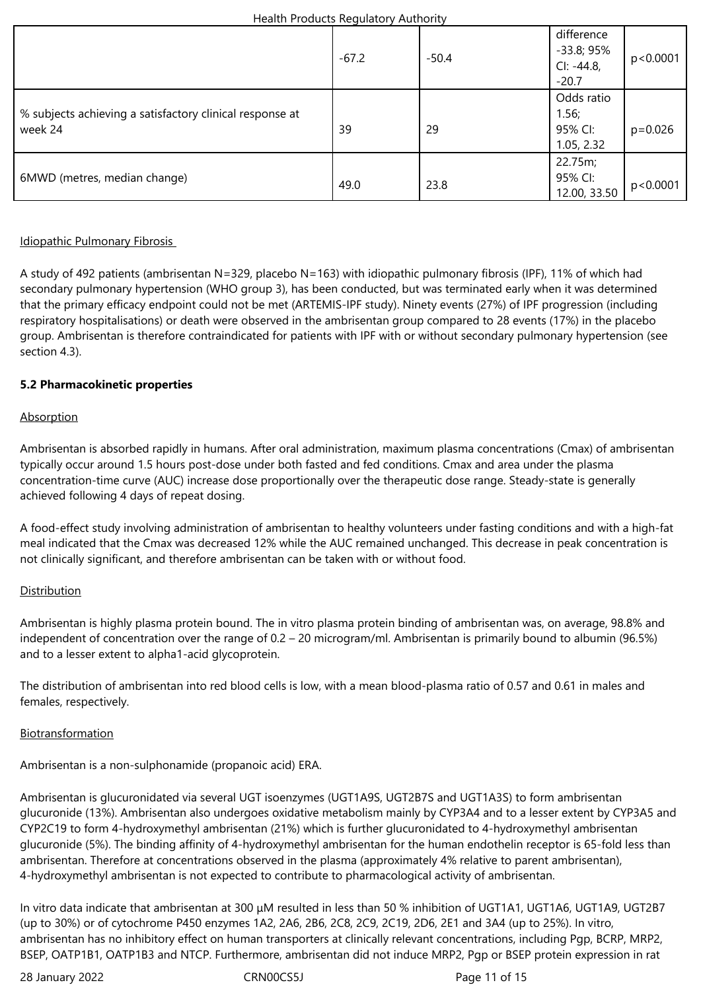|                                                                     | $-67.2$ | $-50.4$ | difference<br>$-33.8;95%$<br>$Cl: -44.8,$<br>$-20.7$ | p<0.0001    |
|---------------------------------------------------------------------|---------|---------|------------------------------------------------------|-------------|
| % subjects achieving a satisfactory clinical response at<br>week 24 | 39      | 29      | Odds ratio<br>1.56;<br>95% CI:<br>1.05, 2.32         | $p = 0.026$ |
| 6MWD (metres, median change)                                        | 49.0    | 23.8    | 22.75m;<br>95% CI:<br>12.00, 33.50                   | p<0.0001    |

# Idiopathic Pulmonary Fibrosis

A study of 492 patients (ambrisentan N=329, placebo N=163) with idiopathic pulmonary fibrosis (IPF), 11% of which had secondary pulmonary hypertension (WHO group 3), has been conducted, but was terminated early when it was determined that the primary efficacy endpoint could not be met (ARTEMIS-IPF study). Ninety events (27%) of IPF progression (including respiratory hospitalisations) or death were observed in the ambrisentan group compared to 28 events (17%) in the placebo group. Ambrisentan is therefore contraindicated for patients with IPF with or without secondary pulmonary hypertension (see section 4.3).

## **5.2 Pharmacokinetic properties**

## **Absorption**

Ambrisentan is absorbed rapidly in humans. After oral administration, maximum plasma concentrations (Cmax) of ambrisentan typically occur around 1.5 hours post-dose under both fasted and fed conditions. Cmax and area under the plasma concentration-time curve (AUC) increase dose proportionally over the therapeutic dose range. Steady-state is generally achieved following 4 days of repeat dosing.

A food-effect study involving administration of ambrisentan to healthy volunteers under fasting conditions and with a high-fat meal indicated that the Cmax was decreased 12% while the AUC remained unchanged. This decrease in peak concentration is not clinically significant, and therefore ambrisentan can be taken with or without food.

# **Distribution**

Ambrisentan is highly plasma protein bound. The in vitro plasma protein binding of ambrisentan was, on average, 98.8% and independent of concentration over the range of 0.2 – 20 microgram/ml. Ambrisentan is primarily bound to albumin (96.5%) and to a lesser extent to alpha1-acid glycoprotein.

The distribution of ambrisentan into red blood cells is low, with a mean blood-plasma ratio of 0.57 and 0.61 in males and females, respectively.

#### Biotransformation

Ambrisentan is a non-sulphonamide (propanoic acid) ERA.

Ambrisentan is glucuronidated via several UGT isoenzymes (UGT1A9S, UGT2B7S and UGT1A3S) to form ambrisentan glucuronide (13%). Ambrisentan also undergoes oxidative metabolism mainly by CYP3A4 and to a lesser extent by CYP3A5 and CYP2C19 to form 4-hydroxymethyl ambrisentan (21%) which is further glucuronidated to 4-hydroxymethyl ambrisentan glucuronide (5%). The binding affinity of 4-hydroxymethyl ambrisentan for the human endothelin receptor is 65-fold less than ambrisentan. Therefore at concentrations observed in the plasma (approximately 4% relative to parent ambrisentan), 4-hydroxymethyl ambrisentan is not expected to contribute to pharmacological activity of ambrisentan.

In vitro data indicate that ambrisentan at 300 μM resulted in less than 50 % inhibition of UGT1A1, UGT1A6, UGT1A9, UGT2B7 (up to 30%) or of cytochrome P450 enzymes 1A2, 2A6, 2B6, 2C8, 2C9, 2C19, 2D6, 2E1 and 3A4 (up to 25%). In vitro, ambrisentan has no inhibitory effect on human transporters at clinically relevant concentrations, including Pgp, BCRP, MRP2, BSEP, OATP1B1, OATP1B3 and NTCP. Furthermore, ambrisentan did not induce MRP2, Pgp or BSEP protein expression in rat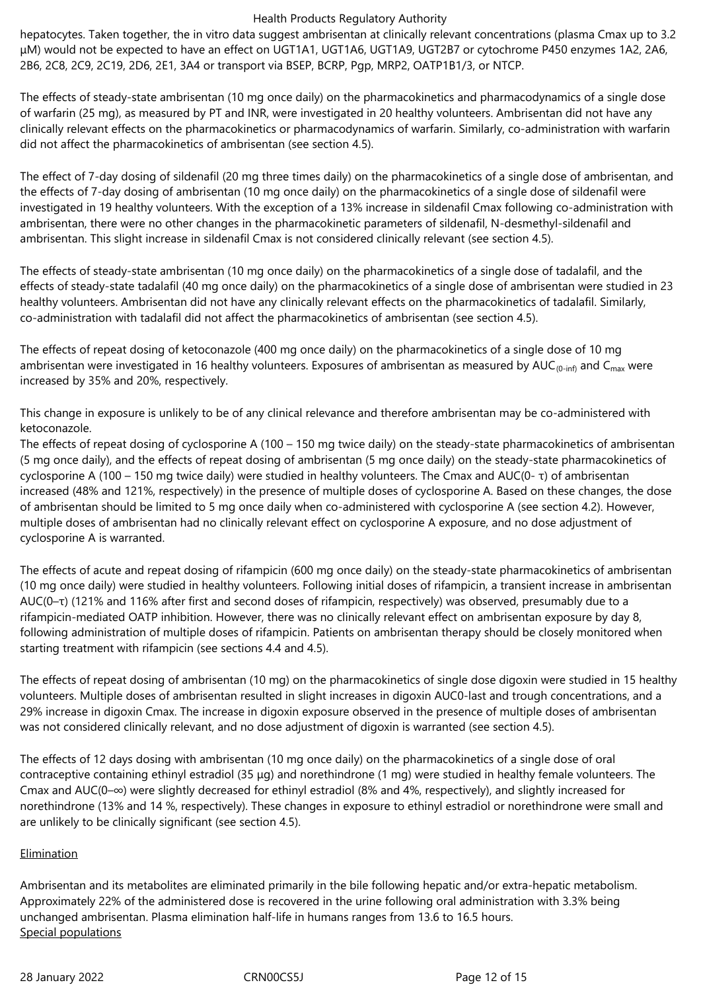hepatocytes. Taken together, the in vitro data suggest ambrisentan at clinically relevant concentrations (plasma Cmax up to 3.2 μM) would not be expected to have an effect on UGT1A1, UGT1A6, UGT1A9, UGT2B7 or cytochrome P450 enzymes 1A2, 2A6, 2B6, 2C8, 2C9, 2C19, 2D6, 2E1, 3A4 or transport via BSEP, BCRP, Pgp, MRP2, OATP1B1/3, or NTCP.

The effects of steady-state ambrisentan (10 mg once daily) on the pharmacokinetics and pharmacodynamics of a single dose of warfarin (25 mg), as measured by PT and INR, were investigated in 20 healthy volunteers. Ambrisentan did not have any clinically relevant effects on the pharmacokinetics or pharmacodynamics of warfarin. Similarly, co-administration with warfarin did not affect the pharmacokinetics of ambrisentan (see section 4.5).

The effect of 7-day dosing of sildenafil (20 mg three times daily) on the pharmacokinetics of a single dose of ambrisentan, and the effects of 7-day dosing of ambrisentan (10 mg once daily) on the pharmacokinetics of a single dose of sildenafil were investigated in 19 healthy volunteers. With the exception of a 13% increase in sildenafil Cmax following co-administration with ambrisentan, there were no other changes in the pharmacokinetic parameters of sildenafil, N-desmethyl-sildenafil and ambrisentan. This slight increase in sildenafil Cmax is not considered clinically relevant (see section 4.5).

The effects of steady-state ambrisentan (10 mg once daily) on the pharmacokinetics of a single dose of tadalafil, and the effects of steady-state tadalafil (40 mg once daily) on the pharmacokinetics of a single dose of ambrisentan were studied in 23 healthy volunteers. Ambrisentan did not have any clinically relevant effects on the pharmacokinetics of tadalafil. Similarly, co-administration with tadalafil did not affect the pharmacokinetics of ambrisentan (see section 4.5).

The effects of repeat dosing of ketoconazole (400 mg once daily) on the pharmacokinetics of a single dose of 10 mg ambrisentan were investigated in 16 healthy volunteers. Exposures of ambrisentan as measured by  $AUC_{(0-inf)}$  and  $C_{max}$  were increased by 35% and 20%, respectively.

This change in exposure is unlikely to be of any clinical relevance and therefore ambrisentan may be co-administered with ketoconazole.

The effects of repeat dosing of cyclosporine A (100 – 150 mg twice daily) on the steady-state pharmacokinetics of ambrisentan (5 mg once daily), and the effects of repeat dosing of ambrisentan (5 mg once daily) on the steady-state pharmacokinetics of cyclosporine A (100 – 150 mg twice daily) were studied in healthy volunteers. The Cmax and AUC(0- τ) of ambrisentan increased (48% and 121%, respectively) in the presence of multiple doses of cyclosporine A. Based on these changes, the dose of ambrisentan should be limited to 5 mg once daily when co-administered with cyclosporine A (see section 4.2). However, multiple doses of ambrisentan had no clinically relevant effect on cyclosporine A exposure, and no dose adjustment of cyclosporine A is warranted.

The effects of acute and repeat dosing of rifampicin (600 mg once daily) on the steady-state pharmacokinetics of ambrisentan (10 mg once daily) were studied in healthy volunteers. Following initial doses of rifampicin, a transient increase in ambrisentan AUC(0–τ) (121% and 116% after first and second doses of rifampicin, respectively) was observed, presumably due to a rifampicin-mediated OATP inhibition. However, there was no clinically relevant effect on ambrisentan exposure by day 8, following administration of multiple doses of rifampicin. Patients on ambrisentan therapy should be closely monitored when starting treatment with rifampicin (see sections 4.4 and 4.5).

The effects of repeat dosing of ambrisentan (10 mg) on the pharmacokinetics of single dose digoxin were studied in 15 healthy volunteers. Multiple doses of ambrisentan resulted in slight increases in digoxin AUC0-last and trough concentrations, and a 29% increase in digoxin Cmax. The increase in digoxin exposure observed in the presence of multiple doses of ambrisentan was not considered clinically relevant, and no dose adjustment of digoxin is warranted (see section 4.5).

The effects of 12 days dosing with ambrisentan (10 mg once daily) on the pharmacokinetics of a single dose of oral contraceptive containing ethinyl estradiol (35 μg) and norethindrone (1 mg) were studied in healthy female volunteers. The Cmax and AUC(0–∞) were slightly decreased for ethinyl estradiol (8% and 4%, respectively), and slightly increased for norethindrone (13% and 14 %, respectively). These changes in exposure to ethinyl estradiol or norethindrone were small and are unlikely to be clinically significant (see section 4.5).

# **Elimination**

Ambrisentan and its metabolites are eliminated primarily in the bile following hepatic and/or extra-hepatic metabolism. Approximately 22% of the administered dose is recovered in the urine following oral administration with 3.3% being unchanged ambrisentan. Plasma elimination half-life in humans ranges from 13.6 to 16.5 hours. Special populations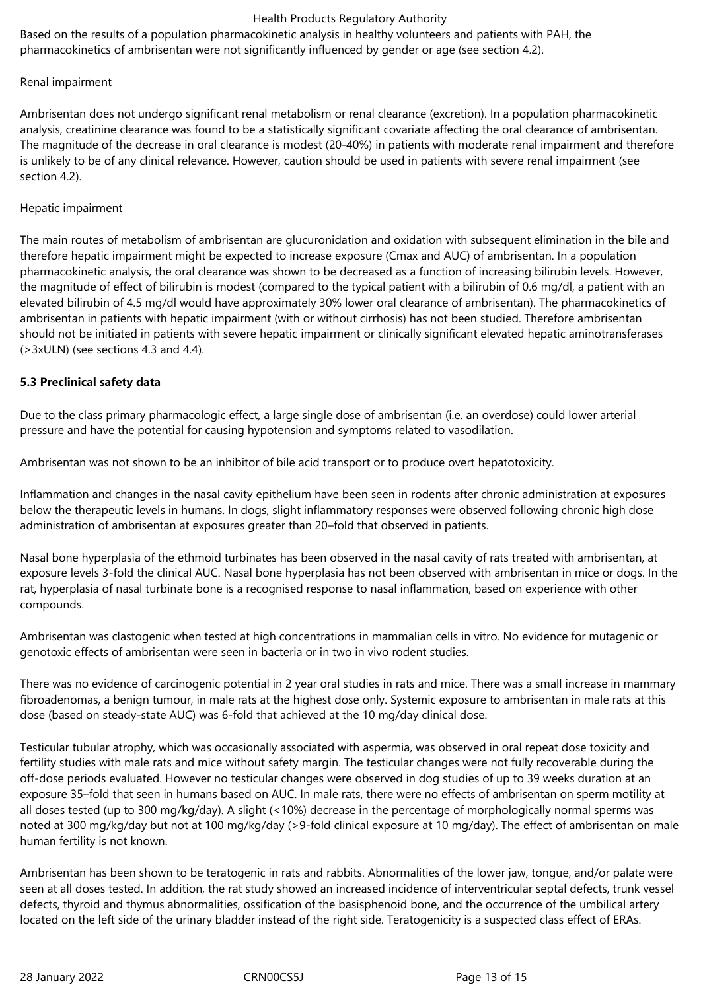Based on the results of a population pharmacokinetic analysis in healthy volunteers and patients with PAH, the pharmacokinetics of ambrisentan were not significantly influenced by gender or age (see section 4.2).

## Renal impairment

Ambrisentan does not undergo significant renal metabolism or renal clearance (excretion). In a population pharmacokinetic analysis, creatinine clearance was found to be a statistically significant covariate affecting the oral clearance of ambrisentan. The magnitude of the decrease in oral clearance is modest (20-40%) in patients with moderate renal impairment and therefore is unlikely to be of any clinical relevance. However, caution should be used in patients with severe renal impairment (see section 4.2).

## Hepatic impairment

The main routes of metabolism of ambrisentan are glucuronidation and oxidation with subsequent elimination in the bile and therefore hepatic impairment might be expected to increase exposure (Cmax and AUC) of ambrisentan. In a population pharmacokinetic analysis, the oral clearance was shown to be decreased as a function of increasing bilirubin levels. However, the magnitude of effect of bilirubin is modest (compared to the typical patient with a bilirubin of 0.6 mg/dl, a patient with an elevated bilirubin of 4.5 mg/dl would have approximately 30% lower oral clearance of ambrisentan). The pharmacokinetics of ambrisentan in patients with hepatic impairment (with or without cirrhosis) has not been studied. Therefore ambrisentan should not be initiated in patients with severe hepatic impairment or clinically significant elevated hepatic aminotransferases (>3xULN) (see sections 4.3 and 4.4).

# **5.3 Preclinical safety data**

Due to the class primary pharmacologic effect, a large single dose of ambrisentan (i.e. an overdose) could lower arterial pressure and have the potential for causing hypotension and symptoms related to vasodilation.

Ambrisentan was not shown to be an inhibitor of bile acid transport or to produce overt hepatotoxicity.

Inflammation and changes in the nasal cavity epithelium have been seen in rodents after chronic administration at exposures below the therapeutic levels in humans. In dogs, slight inflammatory responses were observed following chronic high dose administration of ambrisentan at exposures greater than 20–fold that observed in patients.

Nasal bone hyperplasia of the ethmoid turbinates has been observed in the nasal cavity of rats treated with ambrisentan, at exposure levels 3-fold the clinical AUC. Nasal bone hyperplasia has not been observed with ambrisentan in mice or dogs. In the rat, hyperplasia of nasal turbinate bone is a recognised response to nasal inflammation, based on experience with other compounds.

Ambrisentan was clastogenic when tested at high concentrations in mammalian cells in vitro. No evidence for mutagenic or genotoxic effects of ambrisentan were seen in bacteria or in two in vivo rodent studies.

There was no evidence of carcinogenic potential in 2 year oral studies in rats and mice. There was a small increase in mammary fibroadenomas, a benign tumour, in male rats at the highest dose only. Systemic exposure to ambrisentan in male rats at this dose (based on steady-state AUC) was 6-fold that achieved at the 10 mg/day clinical dose.

Testicular tubular atrophy, which was occasionally associated with aspermia, was observed in oral repeat dose toxicity and fertility studies with male rats and mice without safety margin. The testicular changes were not fully recoverable during the off-dose periods evaluated. However no testicular changes were observed in dog studies of up to 39 weeks duration at an exposure 35–fold that seen in humans based on AUC. In male rats, there were no effects of ambrisentan on sperm motility at all doses tested (up to 300 mg/kg/day). A slight (<10%) decrease in the percentage of morphologically normal sperms was noted at 300 mg/kg/day but not at 100 mg/kg/day (>9-fold clinical exposure at 10 mg/day). The effect of ambrisentan on male human fertility is not known.

Ambrisentan has been shown to be teratogenic in rats and rabbits. Abnormalities of the lower jaw, tongue, and/or palate were seen at all doses tested. In addition, the rat study showed an increased incidence of interventricular septal defects, trunk vessel defects, thyroid and thymus abnormalities, ossification of the basisphenoid bone, and the occurrence of the umbilical artery located on the left side of the urinary bladder instead of the right side. Teratogenicity is a suspected class effect of ERAs.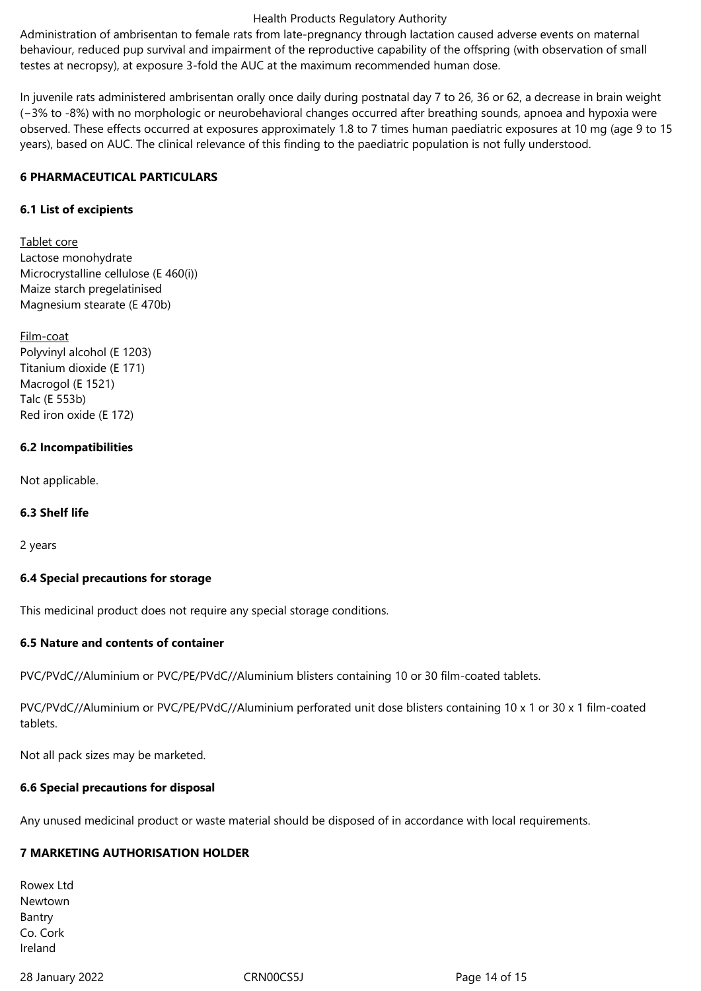Administration of ambrisentan to female rats from late-pregnancy through lactation caused adverse events on maternal behaviour, reduced pup survival and impairment of the reproductive capability of the offspring (with observation of small testes at necropsy), at exposure 3-fold the AUC at the maximum recommended human dose.

In juvenile rats administered ambrisentan orally once daily during postnatal day 7 to 26, 36 or 62, a decrease in brain weight (−3% to -8%) with no morphologic or neurobehavioral changes occurred after breathing sounds, apnoea and hypoxia were observed. These effects occurred at exposures approximately 1.8 to 7 times human paediatric exposures at 10 mg (age 9 to 15 years), based on AUC. The clinical relevance of this finding to the paediatric population is not fully understood.

## **6 PHARMACEUTICAL PARTICULARS**

## **6.1 List of excipients**

Tablet core Lactose monohydrate Microcrystalline cellulose (E 460(i)) Maize starch pregelatinised Magnesium stearate (E 470b)

Film-coat Polyvinyl alcohol (E 1203) Titanium dioxide (E 171) Macrogol (E 1521) Talc (E 553b) Red iron oxide (E 172)

## **6.2 Incompatibilities**

Not applicable.

# **6.3 Shelf life**

2 years

#### **6.4 Special precautions for storage**

This medicinal product does not require any special storage conditions.

#### **6.5 Nature and contents of container**

PVC/PVdC//Aluminium or PVC/PE/PVdC//Aluminium blisters containing 10 or 30 film-coated tablets.

PVC/PVdC//Aluminium or PVC/PE/PVdC//Aluminium perforated unit dose blisters containing 10 x 1 or 30 x 1 film-coated tablets.

Not all pack sizes may be marketed.

#### **6.6 Special precautions for disposal**

Any unused medicinal product or waste material should be disposed of in accordance with local requirements.

# **7 MARKETING AUTHORISATION HOLDER**

Rowex Ltd Newtown Bantry Co. Cork Ireland